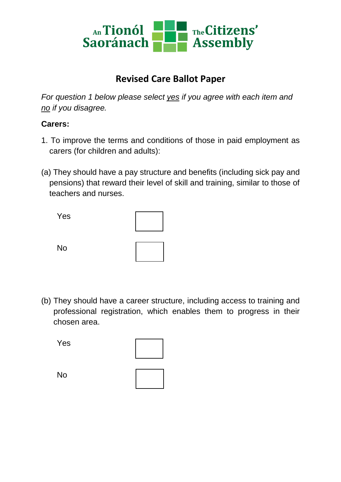

## **Revised Care Ballot Paper**

*For question 1 below please select yes if you agree with each item and no if you disagree.*

## **Carers:**

- 1. To improve the terms and conditions of those in paid employment as carers (for children and adults):
- (a) They should have a pay structure and benefits (including sick pay and pensions) that reward their level of skill and training, similar to those of teachers and nurses.

| Yes       |  |
|-----------|--|
| <b>No</b> |  |

(b) They should have a career structure, including access to training and professional registration, which enables them to progress in their chosen area.

Yes



No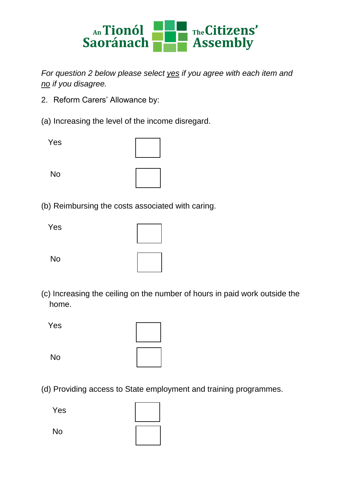

*For question 2 below please select yes if you agree with each item and no if you disagree.*

- 2. Reform Carers' Allowance by:
- (a) Increasing the level of the income disregard.



(b) Reimbursing the costs associated with caring.

Yes

| <b>No</b> |  |
|-----------|--|
|           |  |

(c) Increasing the ceiling on the number of hours in paid work outside the home.

Yes

No

(d) Providing access to State employment and training programmes.

Yes

No

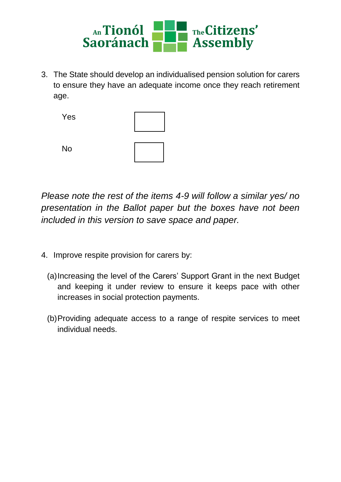

3. The State should develop an individualised pension solution for carers to ensure they have an adequate income once they reach retirement age.



*Please note the rest of the items 4-9 will follow a similar yes/ no presentation in the Ballot paper but the boxes have not been included in this version to save space and paper.*

- 4. Improve respite provision for carers by:
	- (a)Increasing the level of the Carers' Support Grant in the next Budget and keeping it under review to ensure it keeps pace with other increases in social protection payments.
	- (b)Providing adequate access to a range of respite services to meet individual needs.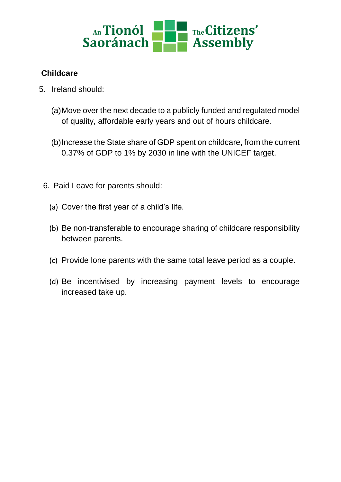

## **Childcare**

- 5. Ireland should:
	- (a)Move over the next decade to a publicly funded and regulated model of quality, affordable early years and out of hours childcare.
	- (b)Increase the State share of GDP spent on childcare, from the current 0.37% of GDP to 1% by 2030 in line with the UNICEF target.
	- 6. Paid Leave for parents should:
		- (a) Cover the first year of a child's life.
		- (b) Be non-transferable to encourage sharing of childcare responsibility between parents.
		- (c) Provide lone parents with the same total leave period as a couple.
		- (d) Be incentivised by increasing payment levels to encourage increased take up.